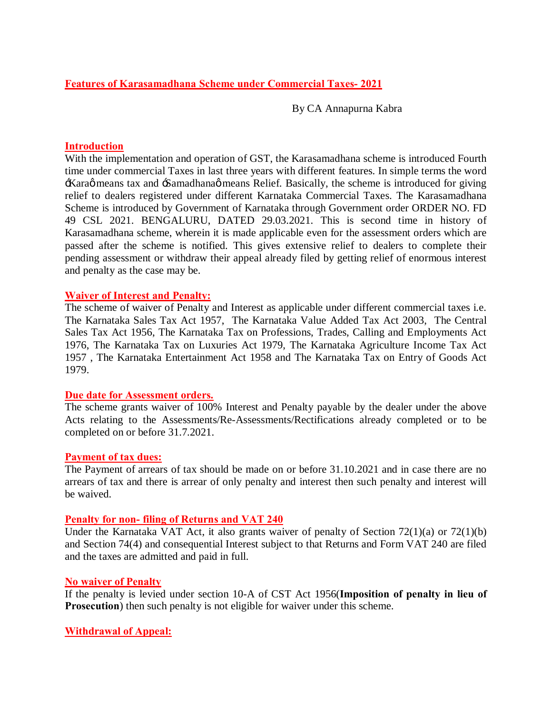## **Features of Karasamadhana Scheme under Commercial Taxes- 2021**

By CA Annapurna Kabra

### **Introduction**

With the implementation and operation of GST, the Karasamadhana scheme is introduced Fourth time under commercial Taxes in last three years with different features. In simple terms the word Karaø means tax and Samadhanaø means Relief. Basically, the scheme is introduced for giving relief to dealers registered under different Karnataka Commercial Taxes. The Karasamadhana Scheme is introduced by Government of Karnataka through Government order ORDER NO. FD 49 CSL 2021. BENGALURU, DATED 29.03.2021. This is second time in history of Karasamadhana scheme, wherein it is made applicable even for the assessment orders which are passed after the scheme is notified. This gives extensive relief to dealers to complete their pending assessment or withdraw their appeal already filed by getting relief of enormous interest and penalty as the case may be.

#### **Waiver of Interest and Penalty:**

The scheme of waiver of Penalty and Interest as applicable under different commercial taxes i.e. The Karnataka Sales Tax Act 1957, The Karnataka Value Added Tax Act 2003, The Central Sales Tax Act 1956, The Karnataka Tax on Professions, Trades, Calling and Employments Act 1976, The Karnataka Tax on Luxuries Act 1979, The Karnataka Agriculture Income Tax Act 1957 , The Karnataka Entertainment Act 1958 and The Karnataka Tax on Entry of Goods Act 1979.

#### **Due date for Assessment orders.**

The scheme grants waiver of 100% Interest and Penalty payable by the dealer under the above Acts relating to the Assessments/Re-Assessments/Rectifications already completed or to be completed on or before 31.7.2021.

#### **Payment of tax dues:**

The Payment of arrears of tax should be made on or before 31.10.2021 and in case there are no arrears of tax and there is arrear of only penalty and interest then such penalty and interest will be waived.

#### **Penalty for non- filing of Returns and VAT 240**

Under the Karnataka VAT Act, it also grants waiver of penalty of Section 72(1)(a) or 72(1)(b) and Section 74(4) and consequential Interest subject to that Returns and Form VAT 240 are filed and the taxes are admitted and paid in full.

## **No waiver of Penalty**

If the penalty is levied under section 10-A of CST Act 1956(**Imposition of penalty in lieu of Prosecution**) then such penalty is not eligible for waiver under this scheme.

## **Withdrawal of Appeal:**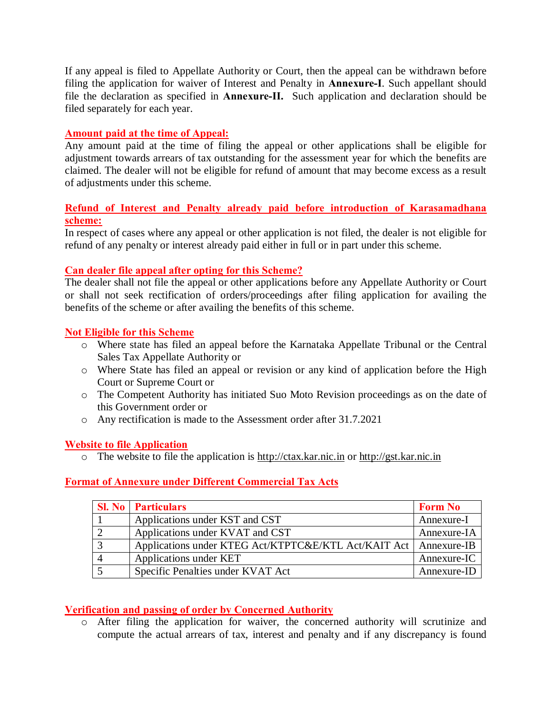If any appeal is filed to Appellate Authority or Court, then the appeal can be withdrawn before filing the application for waiver of Interest and Penalty in **Annexure-I**. Such appellant should file the declaration as specified in **Annexure-II.** Such application and declaration should be filed separately for each year.

## **Amount paid at the time of Appeal:**

Any amount paid at the time of filing the appeal or other applications shall be eligible for adjustment towards arrears of tax outstanding for the assessment year for which the benefits are claimed. The dealer will not be eligible for refund of amount that may become excess as a result of adjustments under this scheme.

# **Refund of Interest and Penalty already paid before introduction of Karasamadhana scheme:**

In respect of cases where any appeal or other application is not filed, the dealer is not eligible for refund of any penalty or interest already paid either in full or in part under this scheme.

## **Can dealer file appeal after opting for this Scheme?**

The dealer shall not file the appeal or other applications before any Appellate Authority or Court or shall not seek rectification of orders/proceedings after filing application for availing the benefits of the scheme or after availing the benefits of this scheme.

## **Not Eligible for this Scheme**

- o Where state has filed an appeal before the Karnataka Appellate Tribunal or the Central Sales Tax Appellate Authority or
- o Where State has filed an appeal or revision or any kind of application before the High Court or Supreme Court or
- o The Competent Authority has initiated Suo Moto Revision proceedings as on the date of this Government order or
- o Any rectification is made to the Assessment order after 31.7.2021

## **Website to file Application**

o The website to file the application is http://ctax.kar.nic.in or http://gst.kar.nic.in

## **Format of Annexure under Different Commercial Tax Acts**

| <b>Sl. No</b> Particulars                                          | <b>Form No</b> |
|--------------------------------------------------------------------|----------------|
| Applications under KST and CST                                     | Annexure-I     |
| Applications under KVAT and CST                                    | Annexure-IA    |
| Applications under KTEG Act/KTPTC&E/KTL Act/KAIT Act   Annexure-IB |                |
| Applications under KET                                             | Annexure-IC    |
| Specific Penalties under KVAT Act                                  | Annexure-ID    |

## **Verification and passing of order by Concerned Authority**

o After filing the application for waiver, the concerned authority will scrutinize and compute the actual arrears of tax, interest and penalty and if any discrepancy is found